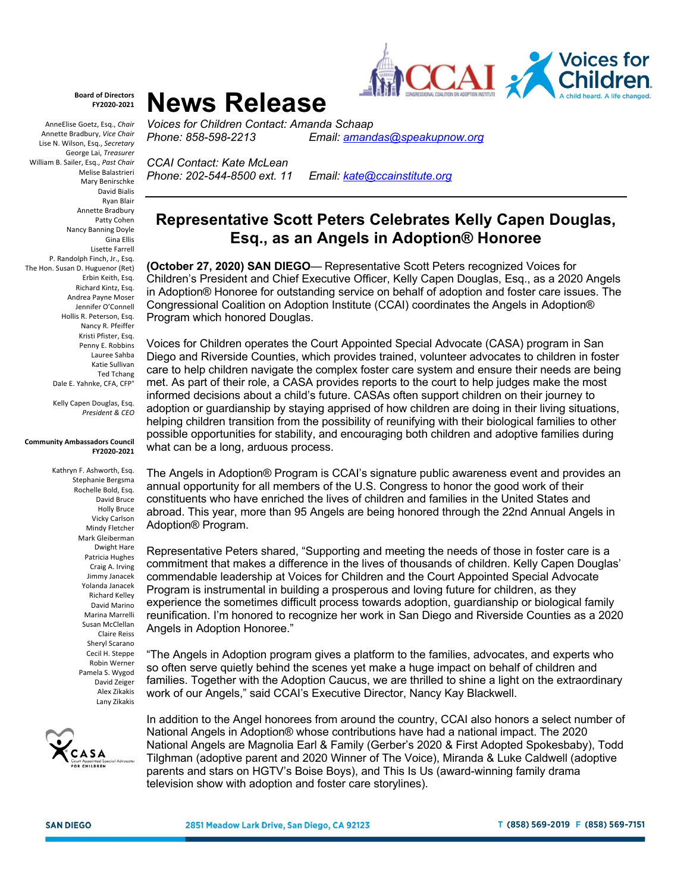

## **Board of Directors FY2020-2021**

AnneElise Goetz, Esq., *Chair* Annette Bradbury, *Vice Chair* Lise N. Wilson, Esq., *Secretary*  George Lai, *Treasurer* William B. Sailer, Esq., *Past Chair*  Melise Balastrieri Mary Benirschke David Bialis Ryan Blair Annette Bradbury Patty Cohen Nancy Banning Doyle Gina Ellis Lisette Farrell P. Randolph Finch, Jr., Esq. The Hon. Susan D. Huguenor (Ret) Erbin Keith, Esq. Richard Kintz, Esq. Andrea Payne Moser Jennifer O'Connell Hollis R. Peterson, Esq. Nancy R. Pfeiffer Kristi Pfister, Esq. Penny E. Robbins Lauree Sahba Katie Sullivan Ted Tchang Dale E. Yahnke, CFA, CFP<sup>®</sup>

> Kelly Capen Douglas, Esq. *President & CEO*

## **Community Ambassadors Council FY2020-2021**

Kathryn F. Ashworth, Esq. Stephanie Bergsma Rochelle Bold, Esq. David Bruce Holly Bruce Vicky Carlson Mindy Fletcher Mark Gleiberman Dwight Hare Patricia Hughes Craig A. Irving Jimmy Janacek Yolanda Janacek Richard Kelley David Marino Marina Marrelli Susan McClellan Claire Reiss Sheryl Scarano Cecil H. Steppe Robin Werner Pamela S. Wygod David Zeiger Alex Zikakis Lany Zikakis



**News Release** *Voices for Children Contact: Amanda Schaap*

*Phone: 858-598-2213 Email: amandas@speakupnow.org*

*CCAI Contact: Kate McLean Phone: 202-544-8500 ext. 11 Email: kate@ccainstitute.org*

## **Representative Scott Peters Celebrates Kelly Capen Douglas, Esq., as an Angels in Adoption® Honoree**

**(October 27, 2020) SAN DIEGO**— Representative Scott Peters recognized Voices for Children's President and Chief Executive Officer, Kelly Capen Douglas, Esq., as a 2020 Angels in Adoption® Honoree for outstanding service on behalf of adoption and foster care issues. The Congressional Coalition on Adoption Institute (CCAI) coordinates the Angels in Adoption® Program which honored Douglas.

Voices for Children operates the Court Appointed Special Advocate (CASA) program in San Diego and Riverside Counties, which provides trained, volunteer advocates to children in foster care to help children navigate the complex foster care system and ensure their needs are being met. As part of their role, a CASA provides reports to the court to help judges make the most informed decisions about a child's future. CASAs often support children on their journey to adoption or guardianship by staying apprised of how children are doing in their living situations, helping children transition from the possibility of reunifying with their biological families to other possible opportunities for stability, and encouraging both children and adoptive families during what can be a long, arduous process.

The Angels in Adoption® Program is CCAI's signature public awareness event and provides an annual opportunity for all members of the U.S. Congress to honor the good work of their constituents who have enriched the lives of children and families in the United States and abroad. This year, more than 95 Angels are being honored through the 22nd Annual Angels in Adoption® Program.

Representative Peters shared, "Supporting and meeting the needs of those in foster care is a commitment that makes a difference in the lives of thousands of children. Kelly Capen Douglas' commendable leadership at Voices for Children and the Court Appointed Special Advocate Program is instrumental in building a prosperous and loving future for children, as they experience the sometimes difficult process towards adoption, guardianship or biological family reunification. I'm honored to recognize her work in San Diego and Riverside Counties as a 2020 Angels in Adoption Honoree."

"The Angels in Adoption program gives a platform to the families, advocates, and experts who so often serve quietly behind the scenes yet make a huge impact on behalf of children and families. Together with the Adoption Caucus, we are thrilled to shine a light on the extraordinary work of our Angels," said CCAI's Executive Director, Nancy Kay Blackwell.

In addition to the Angel honorees from around the country, CCAI also honors a select number of National Angels in Adoption® whose contributions have had a national impact. The 2020 National Angels are Magnolia Earl & Family (Gerber's 2020 & First Adopted Spokesbaby), Todd Tilghman (adoptive parent and 2020 Winner of The Voice), Miranda & Luke Caldwell (adoptive parents and stars on HGTV's Boise Boys), and This Is Us (award-winning family drama television show with adoption and foster care storylines).